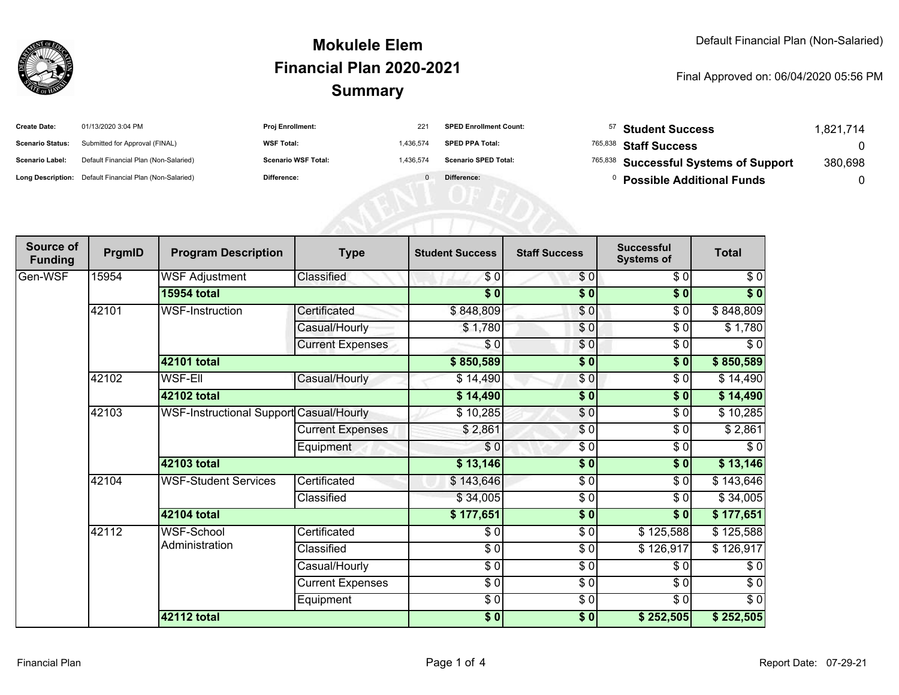

#### **SummaryMokulele ElemFinancial Plan 2020-2021**

#### Final Approved on: 06/04/2020 05:56 PM

| <b>Create Date:</b>     | 01/13/2020 3:04 PM                                      | Proj Enrollment:           | 221       | <b>SPED Enrollment Count:</b> | <sup>57</sup> Student Success         | ,821,714 |
|-------------------------|---------------------------------------------------------|----------------------------|-----------|-------------------------------|---------------------------------------|----------|
| <b>Scenario Status:</b> | Submitted for Approval (FINAL)                          | <b>WSF Total:</b>          | 1.436.574 | <b>SPED PPA Total:</b>        | <sup>765,838</sup> Staff Success      |          |
| <b>Scenario Label:</b>  | Default Financial Plan (Non-Salaried)                   | <b>Scenario WSF Total:</b> | 1,436,574 | <b>Scenario SPED Total:</b>   | 765,838 Successful Systems of Support | 380,698  |
|                         | Long Description: Default Financial Plan (Non-Salaried) | Difference:                |           | Difference:                   | <b>Possible Additional Funds</b>      |          |
|                         |                                                         |                            |           |                               |                                       |          |
|                         |                                                         |                            |           |                               |                                       |          |
|                         |                                                         |                            |           |                               |                                       |          |

| Source of<br><b>Funding</b> | PrgmID | <b>Program Description</b>              | <b>Type</b>             | <b>Student Success</b>   | <b>Staff Success</b> | <b>Successful</b><br><b>Systems of</b> | <b>Total</b> |
|-----------------------------|--------|-----------------------------------------|-------------------------|--------------------------|----------------------|----------------------------------------|--------------|
| Gen-WSF                     | 15954  | <b>WSF Adjustment</b>                   | Classified              | \$0                      | \$0                  | \$0                                    | \$0          |
|                             |        | <b>15954 total</b>                      |                         | $\overline{\$0}$         | $\sqrt{6}$           | $\overline{\$0}$                       | $\sqrt[6]{}$ |
|                             | 42101  | WSF-Instruction                         | Certificated            | \$848,809                | \$0                  | \$0                                    | \$848,809    |
|                             |        |                                         | Casual/Hourly           | \$1,780                  | \$0                  | $\sqrt{6}$                             | \$1,780      |
|                             |        |                                         | <b>Current Expenses</b> | $\frac{1}{\epsilon}$     | \$0                  | \$0                                    | $\sqrt{6}$   |
|                             |        | 42101 total                             |                         | \$850,589                | $\frac{1}{2}$        | \$0                                    | \$850,589    |
|                             | 42102  | <b>WSF-Ell</b>                          | Casual/Hourly           | \$14,490                 | \$0                  | \$0                                    | \$14,490     |
|                             |        | 42102 total                             |                         | \$14,490                 | $\sqrt{6}$           | $\overline{\$0}$                       | \$14,490     |
|                             | 42103  | WSF-Instructional Support Casual/Hourly |                         | \$10,285                 | $\frac{6}{3}$        | \$0                                    | \$10,285     |
|                             |        |                                         | <b>Current Expenses</b> | \$2,861                  | $\overline{\$0}$     | \$0                                    | \$2,861      |
|                             |        |                                         | Equipment               | \$0                      | \$0                  | \$0                                    | \$0          |
|                             |        | 42103 total                             |                         | \$13,146                 | $\frac{1}{2}$        | $\overline{\$0}$                       | \$13,146     |
|                             | 42104  | <b>WSF-Student Services</b>             | Certificated            | \$143,646                | $\frac{6}{6}$        | \$0                                    | \$143,646    |
|                             |        |                                         | Classified              | \$34,005                 | $\sqrt{6}$           | \$0                                    | \$34,005     |
|                             |        | 42104 total                             |                         | \$177,651                | \$0                  | \$0                                    | \$177,651    |
|                             | 42112  | WSF-School                              | Certificated            | \$0                      | $\frac{6}{6}$        | \$125,588                              | \$125,588    |
|                             |        | Administration                          | Classified              | $\overline{\frac{1}{2}}$ | $\frac{6}{6}$        | \$126,917                              | \$126,917    |
|                             |        |                                         | Casual/Hourly           | $\frac{6}{6}$            | $\sqrt{6}$           | \$0                                    | $\sqrt{6}$   |
|                             |        |                                         | <b>Current Expenses</b> | $\frac{1}{\epsilon}$     | \$0                  | \$0                                    | \$0          |
|                             |        |                                         | Equipment               | $\frac{6}{6}$            | $\frac{6}{6}$        | $\frac{3}{6}$                          | $\sqrt{6}$   |
|                             |        | <b>42112 total</b>                      |                         | $\frac{1}{2}$            | $\frac{1}{2}$        | \$252,505                              | \$252,505    |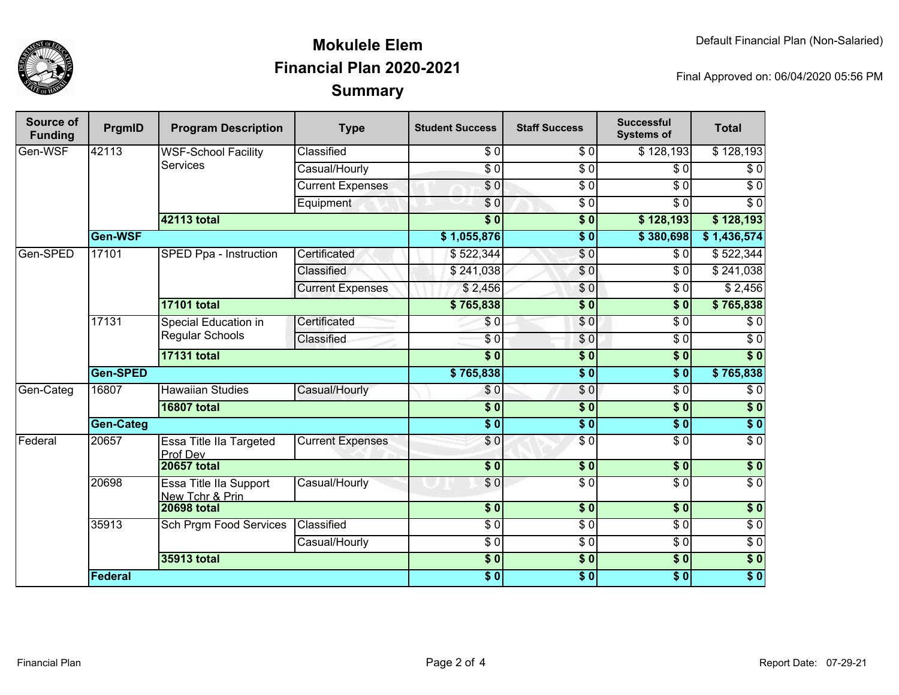

## **SummaryMokulele ElemFinancial Plan 2020-2021**

Final Approved on: 06/04/2020 05:56 PM

| Source of<br><b>Funding</b> | PrgmID           | <b>Program Description</b>                       | <b>Type</b>             | <b>Student Success</b> | <b>Staff Success</b> | <b>Successful</b><br><b>Systems of</b> | <b>Total</b>     |
|-----------------------------|------------------|--------------------------------------------------|-------------------------|------------------------|----------------------|----------------------------------------|------------------|
| Gen-WSF                     | 42113            | <b>WSF-School Facility</b><br><b>Services</b>    | Classified              | \$0                    | $\overline{\$0}$     | \$128,193                              | \$128,193        |
|                             |                  |                                                  | Casual/Hourly           | $\overline{\$0}$       | $\overline{S}0$      | $\overline{30}$                        | $\sqrt{6}$       |
|                             |                  |                                                  | <b>Current Expenses</b> | $\sqrt{6}$             | $\overline{\$0}$     | \$0                                    | $\sqrt{6}$       |
|                             |                  |                                                  | Equipment               | \$0                    | $\overline{50}$      | $\overline{30}$                        | $\overline{\$0}$ |
|                             |                  | 42113 total                                      |                         | $\overline{\$0}$       | $\overline{\$0}$     | \$128,193                              | \$128,193        |
|                             | Gen-WSF          |                                                  |                         | \$1,055,876            | $\overline{\$0}$     | \$380,698                              | \$1,436,574      |
| Gen-SPED                    | 17101            | SPED Ppa - Instruction                           | Certificated            | \$522,344              | $\overline{S}0$      | \$0                                    | \$522,344        |
|                             |                  |                                                  | Classified              | \$241,038              | \$0                  | $\overline{30}$                        | \$241,038        |
|                             |                  |                                                  | <b>Current Expenses</b> | \$2,456                | \$0                  | \$0                                    | \$2,456          |
|                             |                  | <b>17101 total</b>                               |                         | \$765,838              | $\overline{\$0}$     | $\overline{\$0}$                       | \$765,838        |
|                             | 17131            | Special Education in<br><b>Regular Schools</b>   | Certificated            | \$0                    | \$0                  | $\overline{30}$                        | $\sqrt{6}$       |
|                             |                  |                                                  | Classified              | $\overline{\$0}$       | \$0                  | $\overline{\$0}$                       | $\sqrt{6}$       |
|                             |                  | <b>17131 total</b>                               |                         | $\overline{\$0}$       | $\overline{\$0}$     | $\overline{\$0}$                       | $\overline{\$0}$ |
|                             | <b>Gen-SPED</b>  |                                                  | \$765,838               | $\overline{\$0}$       | $\overline{\$0}$     | \$765,838                              |                  |
| Gen-Categ                   | 16807            | <b>Hawaiian Studies</b>                          | Casual/Hourly           | \$0                    | $\sqrt{6}$           | $\overline{\$0}$                       | $\overline{\$0}$ |
|                             |                  | <b>16807 total</b>                               |                         | $\overline{\$0}$       | $\overline{\$0}$     | $\overline{\$0}$                       | $\overline{\$0}$ |
|                             | <b>Gen-Categ</b> |                                                  |                         | $\overline{\$0}$       | $\overline{\$0}$     | $\overline{\$0}$                       | $\sqrt{6}$       |
| Federal                     | 20657            | Essa Title IIa Targeted<br>Prof Dev              | <b>Current Expenses</b> | \$0                    | $\overline{S}0$      | $\overline{30}$                        | $\overline{60}$  |
|                             |                  | <b>20657 total</b>                               |                         | \$0                    | \$0                  | \$0                                    | $\sqrt{6}$       |
|                             | 20698            | <b>Essa Title IIa Support</b><br>New Tchr & Prin | Casual/Hourly           | \$0                    | $\overline{\$0}$     | $\overline{\$0}$                       | $\overline{\$0}$ |
|                             |                  | <b>20698 total</b>                               |                         | $\overline{\$0}$       | $\overline{\$0}$     | $\overline{\$0}$                       | \$0              |
|                             | 35913            | <b>Sch Prgm Food Services</b>                    | Classified              | $\overline{\$0}$       | $\overline{S}0$      | $\overline{\$0}$                       | $\overline{30}$  |
|                             |                  |                                                  | Casual/Hourly           | $\sqrt{6}$             | $\overline{30}$      | $\sqrt{6}$                             | $\overline{50}$  |
|                             |                  | 35913 total                                      |                         | $\overline{\$0}$       | $\overline{\$0}$     | $\overline{\$0}$                       | $\sqrt{6}$       |
|                             | <b>Federal</b>   |                                                  |                         | $\overline{\$0}$       | $\sqrt{6}$           | $\sqrt{6}$                             | \$0              |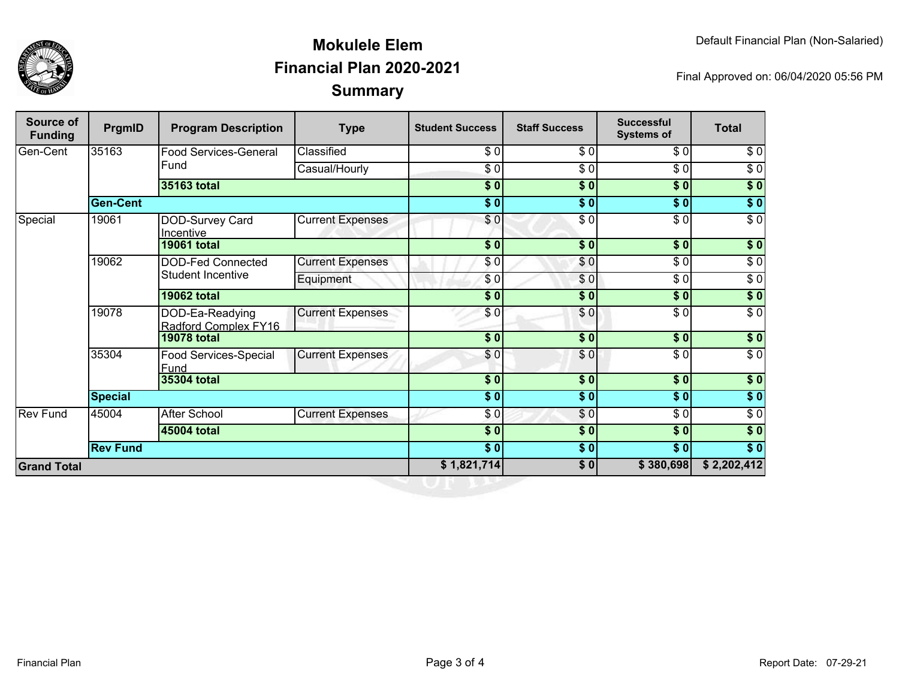

## **SummaryMokulele ElemFinancial Plan 2020-2021**

Final Approved on: 06/04/2020 05:56 PM

| <b>Source of</b><br><b>Funding</b> | PrgmID          | <b>Program Description</b>              | <b>Type</b>             | <b>Student Success</b>    | <b>Staff Success</b>   | <b>Successful</b><br><b>Systems of</b> | <b>Total</b>     |
|------------------------------------|-----------------|-----------------------------------------|-------------------------|---------------------------|------------------------|----------------------------------------|------------------|
| Gen-Cent                           | 35163           | <b>Food Services-General</b><br>Fund    | Classified              | $\sqrt{3}$                | $\overline{\$0}$       | $\sqrt{6}$                             | $\sqrt{6}$       |
|                                    |                 |                                         | Casual/Hourly           | \$ 0                      | $\overline{\$0}$       | $\sqrt{6}$                             | $\sqrt{6}$       |
|                                    |                 | <b>35163 total</b>                      |                         | $\overline{\$0}$          | $\sqrt{50}$            | $\overline{\$0}$                       | $\overline{\$0}$ |
|                                    | <b>Gen-Cent</b> |                                         |                         | $\overline{\$0}$          | $\overline{\bullet}$ 0 | $\overline{\$0}$                       | $\sqrt{50}$      |
| Special                            | 19061           | DOD-Survey Card<br>Incentive            | <b>Current Expenses</b> | \$0                       | $\overline{\$0}$       | $\sqrt{6}$                             | $\overline{\$0}$ |
|                                    |                 | <b>19061 total</b>                      |                         | \$0]                      | \$0                    | \$0                                    | \$0              |
|                                    | 19062           | DOD-Fed Connected                       | <b>Current Expenses</b> | \$0]                      | \$0                    | \$0                                    | $\overline{\$0}$ |
|                                    |                 | Student Incentive                       | Equipment               | \$0                       | \$0                    | $\overline{\$0}$                       | $\overline{\$0}$ |
|                                    |                 | <b>19062 total</b>                      |                         | \$0                       | \$0                    | \$0                                    | $\sqrt{ }$       |
|                                    | 19078           | DOD-Ea-Readying<br>Radford Complex FY16 | <b>Current Expenses</b> | \$0                       | \$0                    | $\overline{\$0}$                       | $\overline{\$0}$ |
|                                    |                 | <b>19078 total</b>                      |                         | $\sqrt{5}$                | \$0                    | $\frac{1}{2}$                          | \$0              |
|                                    | 35304           | Food Services-Special<br>Fund           | <b>Current Expenses</b> | $\frac{6}{3}$             | \$0                    | $\frac{3}{6}$                          | $\sqrt{6}$       |
|                                    |                 | 35304 total                             |                         | $\overline{\textbf{S}^0}$ | $\overline{\$0}$       | $\overline{\$0}$                       | $\sqrt{50}$      |
|                                    | <b>Special</b>  |                                         |                         | $\overline{\$0}$          | $\overline{\$0}$       | $\overline{\$0}$                       | $\overline{\$0}$ |
| Rev Fund                           | 45004           | <b>After School</b>                     | <b>Current Expenses</b> | \$0                       | \$0                    | \$0                                    | $\sqrt{6}$       |
|                                    |                 | 45004 total                             |                         | $\overline{\$0}$          | \$0                    | $\overline{\$0}$                       | $\overline{\$}0$ |
|                                    | <b>Rev Fund</b> |                                         |                         | $\overline{\$0}$          | $\sqrt{50}$            | $\overline{\$0}$                       | $\overline{\$}0$ |
| <b>Grand Total</b>                 |                 |                                         | \$1,821,714             | $\sqrt{50}$               | \$380,698              | \$2,202,412                            |                  |